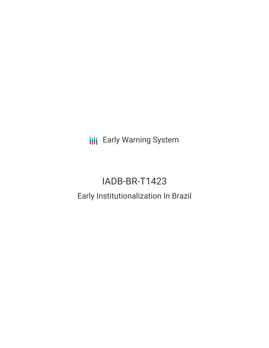**III** Early Warning System

# IADB-BR-T1423

# Early Institutionalization In Brazil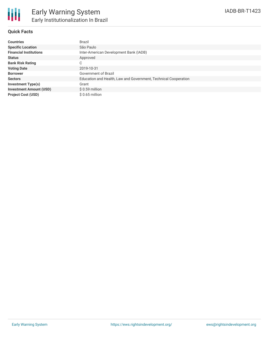## **Quick Facts**

| <b>Countries</b>               | <b>Brazil</b>                                                   |
|--------------------------------|-----------------------------------------------------------------|
| <b>Specific Location</b>       | São Paulo                                                       |
| <b>Financial Institutions</b>  | Inter-American Development Bank (IADB)                          |
| <b>Status</b>                  | Approved                                                        |
| <b>Bank Risk Rating</b>        | C                                                               |
| <b>Voting Date</b>             | 2019-10-31                                                      |
| <b>Borrower</b>                | Government of Brazil                                            |
| <b>Sectors</b>                 | Education and Health, Law and Government, Technical Cooperation |
| <b>Investment Type(s)</b>      | Grant                                                           |
| <b>Investment Amount (USD)</b> | $$0.59$ million                                                 |
| <b>Project Cost (USD)</b>      | $$0.65$ million                                                 |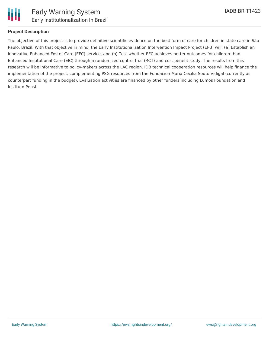

# **Project Description**

The objective of this project is to provide definitive scientific evidence on the best form of care for children in state care in São Paulo, Brazil. With that objective in mind, the Early Institutionalization Intervention Impact Project (EI-3) will: (a) Establish an innovative Enhanced Foster Care (EFC) service, and (b) Test whether EFC achieves better outcomes for children than Enhanced Institutional Care (EIC) through a randomized control trial (RCT) and cost benefit study. The results from this research will be informative to policy-makers across the LAC region. IDB technical cooperation resources will help finance the implementation of the project, complementing PSG resources from the Fundacion Maria Cecilia Souto Vidigal (currently as counterpart funding in the budget). Evaluation activities are financed by other funders including Lumos Foundation and Instituto Pensi.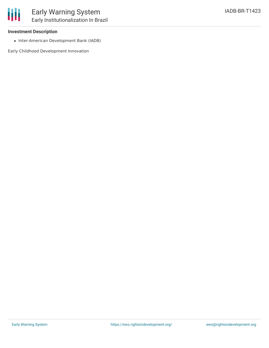#### **Investment Description**

• Inter-American Development Bank (IADB)

Early Childhood Development Innovation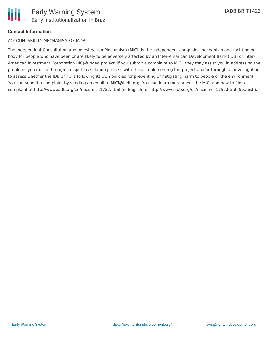## **Contact Information**

#### ACCOUNTABILITY MECHANISM OF IADB

The Independent Consultation and Investigation Mechanism (MICI) is the independent complaint mechanism and fact-finding body for people who have been or are likely to be adversely affected by an Inter-American Development Bank (IDB) or Inter-American Investment Corporation (IIC)-funded project. If you submit a complaint to MICI, they may assist you in addressing the problems you raised through a dispute-resolution process with those implementing the project and/or through an investigation to assess whether the IDB or IIC is following its own policies for preventing or mitigating harm to people or the environment. You can submit a complaint by sending an email to MICI@iadb.org. You can learn more about the MICI and how to file a complaint at http://www.iadb.org/en/mici/mici,1752.html (in English) or http://www.iadb.org/es/mici/mici,1752.html (Spanish).